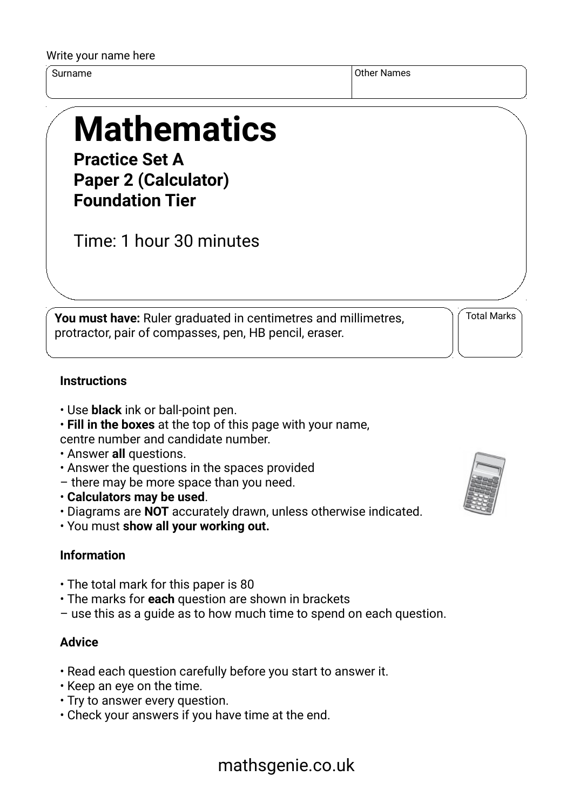#### Write your name here

Surname Other Names of the Surname of the Surname of the Surname of the Surname of the Surname of the Surname o

# **Mathematics**

**Practice Set A Paper 2 (Calculator) Foundation Tier**

Time: 1 hour 30 minutes

**You must have:** Ruler graduated in centimetres and millimetres, protractor, pair of compasses, pen, HB pencil, eraser.

Total Marks

### **Instructions**

- Use **black** ink or ball-point pen.
- **Fill in the boxes** at the top of this page with your name,

centre number and candidate number.

- Answer **all** questions.
- Answer the questions in the spaces provided
- there may be more space than you need.
- **Calculators may be used**.
- Diagrams are **NOT** accurately drawn, unless otherwise indicated.
- You must **show all your working out.**

# **Information**

- The total mark for this paper is 80
- The marks for **each** question are shown in brackets
- use this as a guide as to how much time to spend on each question.

## **Advice**

- Read each question carefully before you start to answer it.
- Keep an eye on the time.
- Try to answer every question.
- Check your answers if you have time at the end.



# mathsgenie.co.uk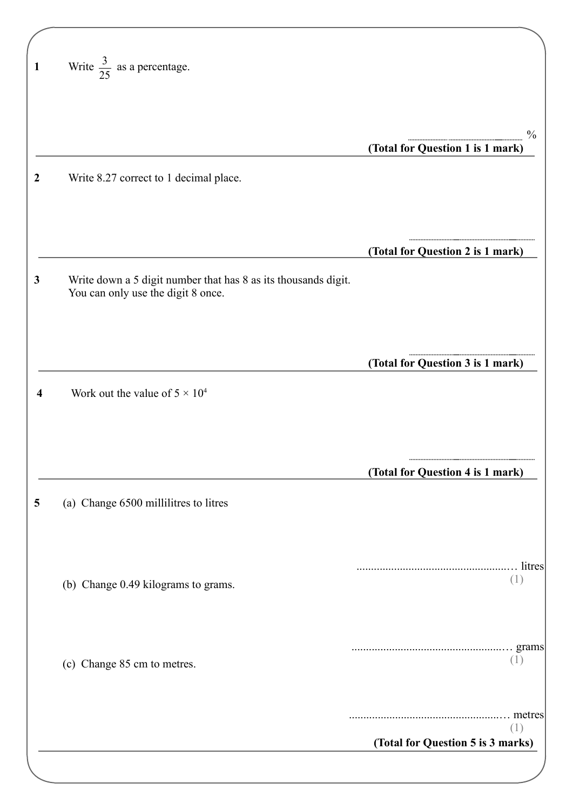| 1            | Write $\frac{3}{25}$ as a percentage.                                                                |                                                   |
|--------------|------------------------------------------------------------------------------------------------------|---------------------------------------------------|
|              |                                                                                                      | $\frac{0}{0}$<br>(Total for Question 1 is 1 mark) |
| 2            | Write 8.27 correct to 1 decimal place.                                                               |                                                   |
|              |                                                                                                      | (Total for Question 2 is 1 mark)                  |
| $\mathbf{3}$ | Write down a 5 digit number that has 8 as its thousands digit.<br>You can only use the digit 8 once. |                                                   |
|              |                                                                                                      | (Total for Question 3 is 1 mark)                  |
|              | Work out the value of $5 \times 10^4$                                                                |                                                   |
|              |                                                                                                      | (Total for Question 4 is 1 mark)                  |
| 5            | (a) Change 6500 millilitres to litres                                                                |                                                   |
|              | (b) Change 0.49 kilograms to grams.                                                                  | (1)                                               |
|              | (c) Change 85 cm to metres.                                                                          | grams<br>(1)                                      |
|              |                                                                                                      | (1)                                               |
|              |                                                                                                      | (Total for Question 5 is 3 marks)                 |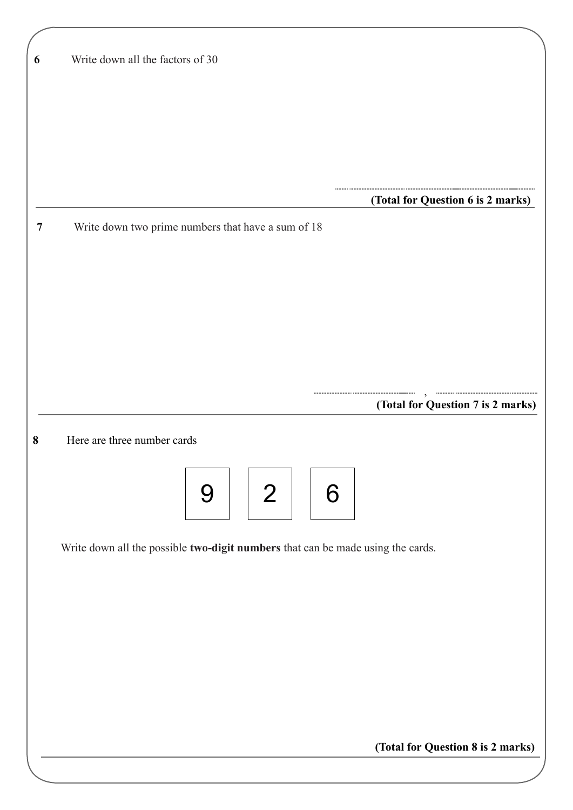| 6 | Write down all the factors of 30                                                |
|---|---------------------------------------------------------------------------------|
|   |                                                                                 |
|   |                                                                                 |
|   |                                                                                 |
|   |                                                                                 |
|   |                                                                                 |
|   |                                                                                 |
|   |                                                                                 |
|   | (Total for Question 6 is 2 marks)                                               |
| 7 | Write down two prime numbers that have a sum of 18                              |
|   |                                                                                 |
|   |                                                                                 |
|   |                                                                                 |
|   |                                                                                 |
|   |                                                                                 |
|   |                                                                                 |
|   |                                                                                 |
|   |                                                                                 |
|   |                                                                                 |
|   | (Total for Question 7 is 2 marks)                                               |
| 8 | Here are three number cards                                                     |
|   |                                                                                 |
|   |                                                                                 |
|   | 2 <sup>1</sup><br>6<br>9                                                        |
|   |                                                                                 |
|   |                                                                                 |
|   | Write down all the possible two-digit numbers that can be made using the cards. |
|   |                                                                                 |
|   |                                                                                 |
|   |                                                                                 |
|   |                                                                                 |
|   |                                                                                 |
|   |                                                                                 |
|   |                                                                                 |
|   |                                                                                 |
|   |                                                                                 |
|   |                                                                                 |
|   |                                                                                 |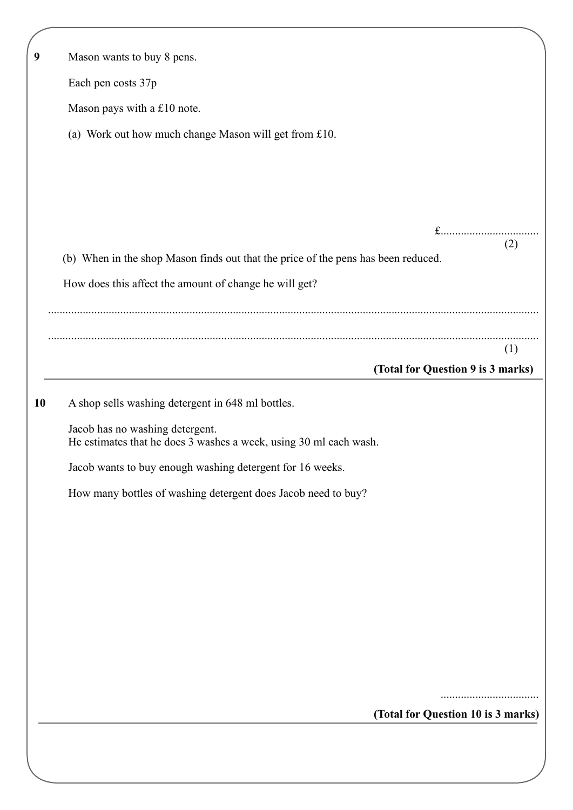| 9  | Mason wants to buy 8 pens.                                                               |
|----|------------------------------------------------------------------------------------------|
|    | Each pen costs 37p                                                                       |
|    | Mason pays with a £10 note.                                                              |
|    | (a) Work out how much change Mason will get from £10.                                    |
|    |                                                                                          |
|    |                                                                                          |
|    |                                                                                          |
|    | $f$                                                                                      |
|    | (2)<br>(b) When in the shop Mason finds out that the price of the pens has been reduced. |
|    | How does this affect the amount of change he will get?                                   |
|    |                                                                                          |
|    |                                                                                          |
|    | (1)                                                                                      |
|    | (Total for Question 9 is 3 marks)                                                        |
| 10 | A shop sells washing detergent in 648 ml bottles.                                        |
|    | Jacob has no washing detergent.                                                          |
|    | He estimates that he does 3 washes a week, using 30 ml each wash.                        |
|    | Jacob wants to buy enough washing detergent for 16 weeks.                                |
|    | How many bottles of washing detergent does Jacob need to buy?                            |
|    |                                                                                          |
|    |                                                                                          |
|    |                                                                                          |
|    |                                                                                          |
|    |                                                                                          |
|    |                                                                                          |
|    |                                                                                          |
|    |                                                                                          |
|    | (Total for Question 10 is 3 marks)                                                       |
|    |                                                                                          |
|    |                                                                                          |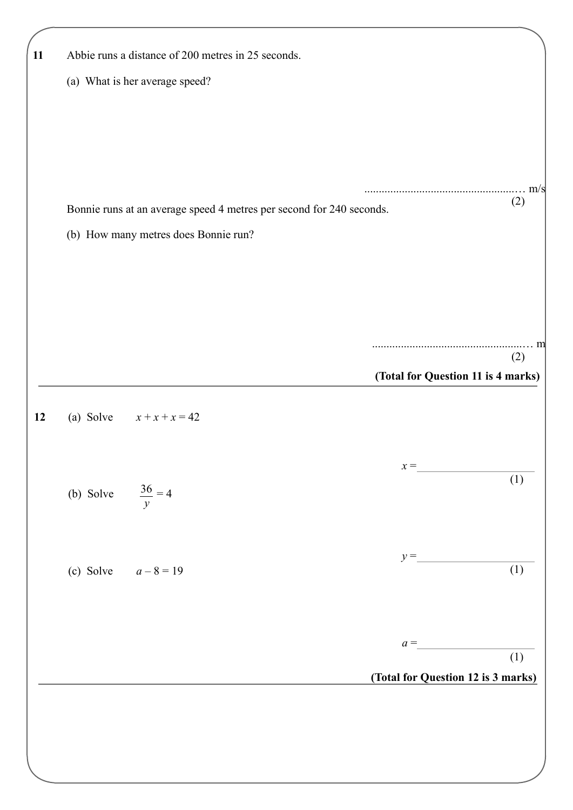| Abbie runs a distance of 200 metres in 25 seconds.                   |                                    |                     |
|----------------------------------------------------------------------|------------------------------------|---------------------|
| (a) What is her average speed?                                       |                                    |                     |
|                                                                      |                                    |                     |
|                                                                      |                                    | $\ldots \ldots$ m/s |
| Bonnie runs at an average speed 4 metres per second for 240 seconds. |                                    | (2)                 |
| (b) How many metres does Bonnie run?                                 |                                    |                     |
|                                                                      |                                    |                     |
|                                                                      |                                    |                     |
|                                                                      |                                    |                     |
|                                                                      |                                    | m<br>(2)            |
|                                                                      | (Total for Question 11 is 4 marks) |                     |
|                                                                      |                                    |                     |
| (a) Solve $x + x + x = 42$                                           |                                    |                     |
|                                                                      | $x =$                              |                     |
| (b) Solve $\frac{36}{y} = 4$                                         |                                    | (1)                 |
|                                                                      |                                    |                     |
|                                                                      |                                    |                     |
| (c) Solve $a - 8 = 19$                                               | $y =$                              | (1)                 |
|                                                                      |                                    |                     |
|                                                                      |                                    |                     |
|                                                                      | $a =$                              | (1)                 |
|                                                                      | (Total for Question 12 is 3 marks) |                     |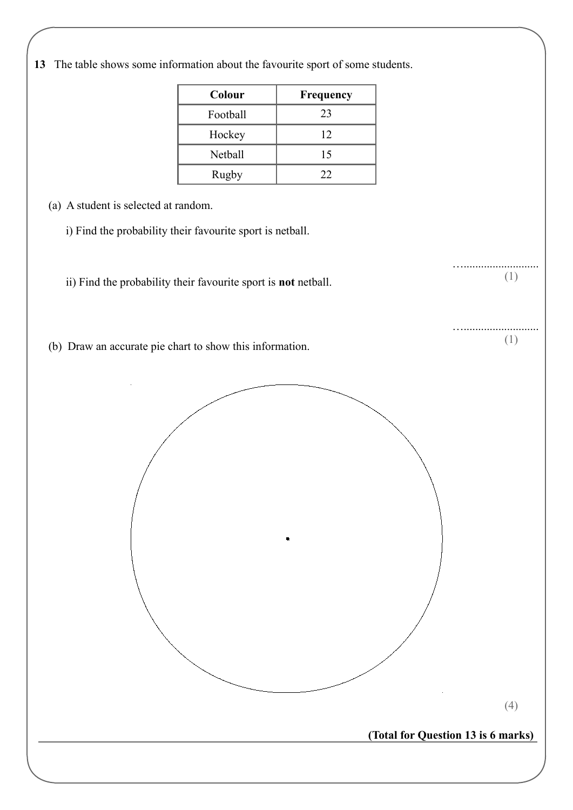**13** The table shows some information about the favourite sport of some students.

| Colour         | Frequency |
|----------------|-----------|
| Football       | 23        |
| Hockey         | 12        |
| <b>Netball</b> | 15        |
| Rugby          | 22        |

(a) A student is selected at random.

i) Find the probability their favourite sport is netball.

ii) Find the probability their favourite sport is **not** netball.

(b) Draw an accurate pie chart to show this information.

(4)

….......................... (1)

….......................... (1)

**(Total for Question 13 is 6 marks)**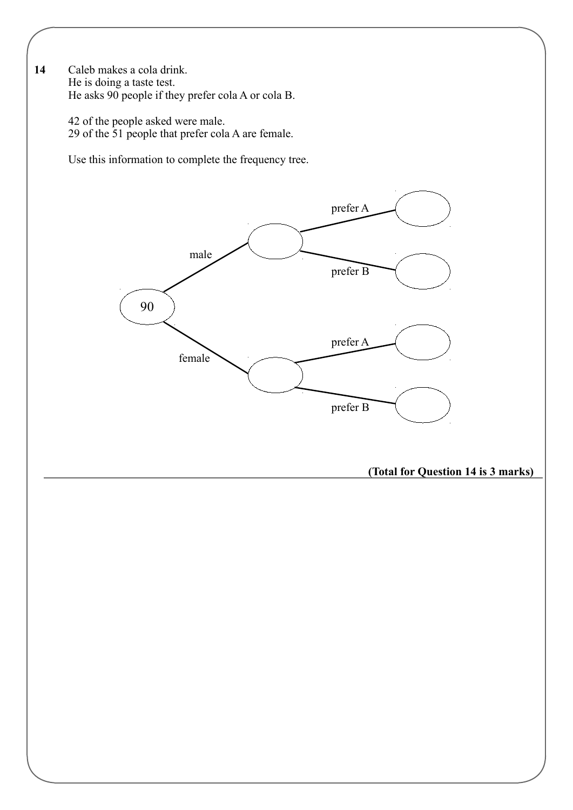**14** Caleb makes a cola drink. He is doing a taste test. He asks 90 people if they prefer cola A or cola B.

> 42 of the people asked were male. 29 of the 51 people that prefer cola A are female.

Use this information to complete the frequency tree.

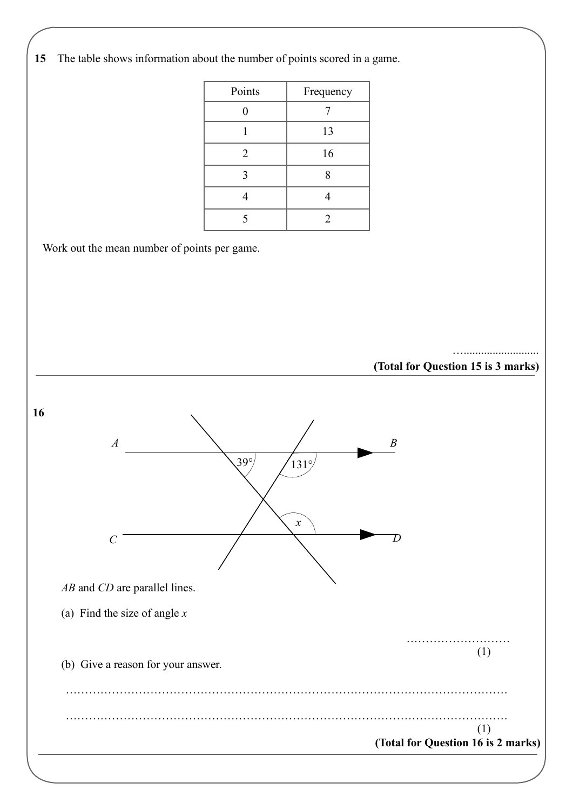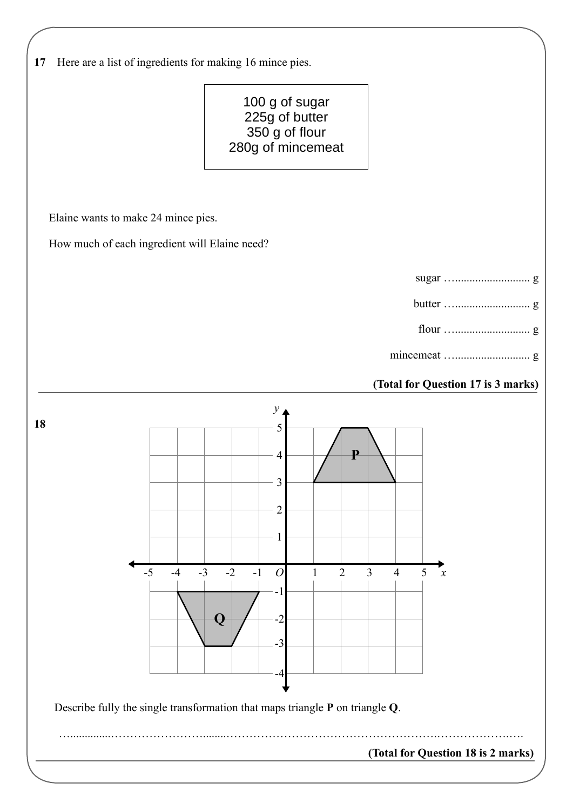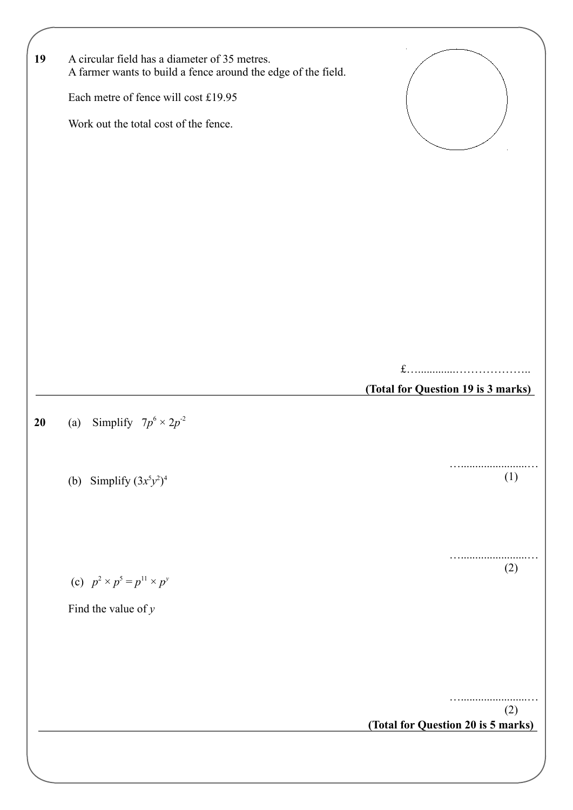| 19 | A circular field has a diameter of 35 metres.<br>A farmer wants to build a fence around the edge of the field. |                                    |     |
|----|----------------------------------------------------------------------------------------------------------------|------------------------------------|-----|
|    | Each metre of fence will cost £19.95                                                                           |                                    |     |
|    | Work out the total cost of the fence.                                                                          |                                    |     |
|    |                                                                                                                |                                    |     |
|    |                                                                                                                |                                    |     |
|    |                                                                                                                |                                    |     |
|    |                                                                                                                |                                    |     |
|    |                                                                                                                |                                    |     |
|    |                                                                                                                |                                    |     |
|    |                                                                                                                |                                    |     |
|    |                                                                                                                | $f$                                |     |
|    |                                                                                                                | (Total for Question 19 is 3 marks) |     |
| 20 | (a) Simplify $7p^6 \times 2p^2$                                                                                |                                    |     |
|    |                                                                                                                |                                    |     |
|    |                                                                                                                |                                    |     |
|    | (b) Simplify $(3x^5y^2)^4$                                                                                     |                                    | (1) |
|    |                                                                                                                |                                    |     |
|    |                                                                                                                |                                    |     |
|    |                                                                                                                |                                    | (2) |
|    | (c) $p^2 \times p^5 = p^{11} \times p^y$                                                                       |                                    |     |
|    | Find the value of $y$                                                                                          |                                    |     |
|    |                                                                                                                |                                    |     |
|    |                                                                                                                |                                    |     |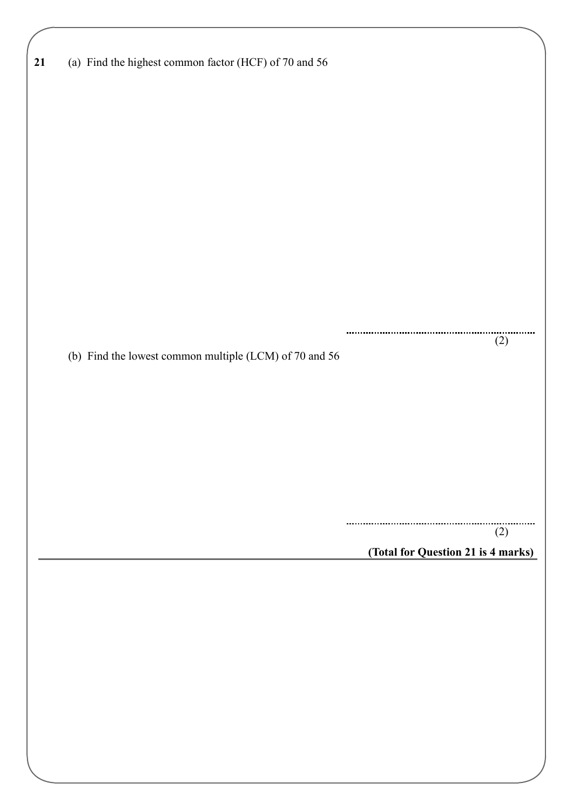| 21 | (a) Find the highest common factor (HCF) of 70 and 56  |                                    |
|----|--------------------------------------------------------|------------------------------------|
|    |                                                        |                                    |
|    |                                                        |                                    |
|    |                                                        |                                    |
|    |                                                        |                                    |
|    |                                                        |                                    |
|    |                                                        |                                    |
|    |                                                        |                                    |
|    |                                                        |                                    |
|    |                                                        |                                    |
|    |                                                        |                                    |
|    |                                                        |                                    |
|    |                                                        |                                    |
|    |                                                        |                                    |
|    |                                                        |                                    |
|    |                                                        |                                    |
|    |                                                        |                                    |
|    |                                                        |                                    |
|    | (b) Find the lowest common multiple (LCM) of 70 and 56 | (2)                                |
|    |                                                        |                                    |
|    |                                                        |                                    |
|    |                                                        |                                    |
|    |                                                        |                                    |
|    |                                                        |                                    |
|    |                                                        |                                    |
|    |                                                        |                                    |
|    |                                                        |                                    |
|    |                                                        |                                    |
|    |                                                        |                                    |
|    |                                                        |                                    |
|    |                                                        | (2)                                |
|    |                                                        | (Total for Question 21 is 4 marks) |
|    |                                                        |                                    |
|    |                                                        |                                    |
|    |                                                        |                                    |
|    |                                                        |                                    |
|    |                                                        |                                    |
|    |                                                        |                                    |
|    |                                                        |                                    |
|    |                                                        |                                    |
|    |                                                        |                                    |
|    |                                                        |                                    |
|    |                                                        |                                    |
|    |                                                        |                                    |
|    |                                                        |                                    |
|    |                                                        |                                    |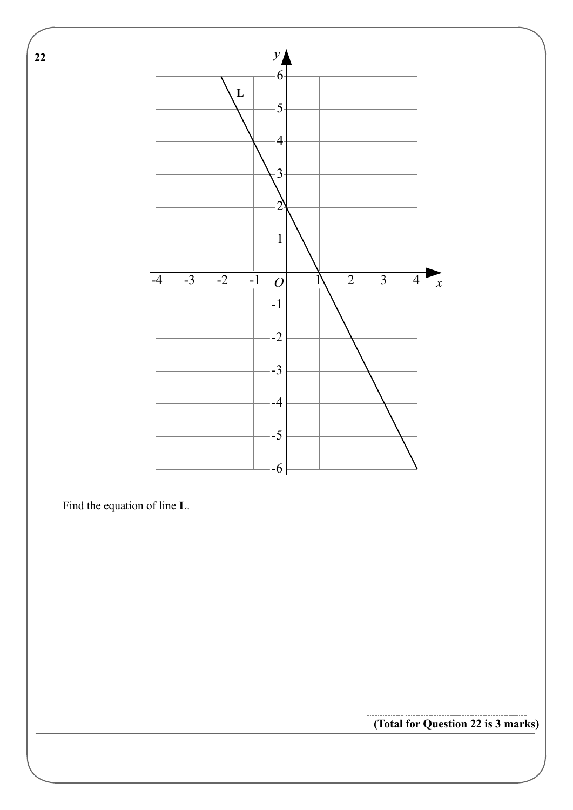

Find the equation of line **L**.

**(Total for Question 22 is 3 marks)**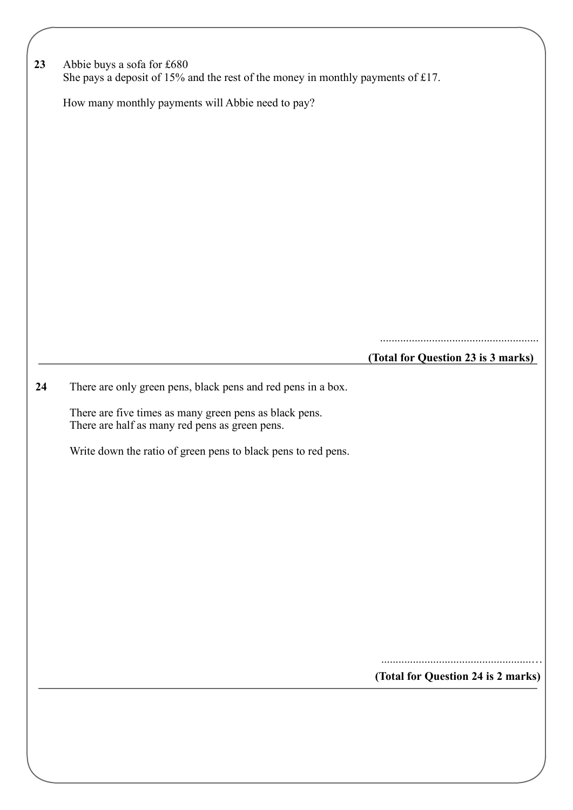|    |                                                                                 | (Total for Question 24 is 2 marks)     |
|----|---------------------------------------------------------------------------------|----------------------------------------|
|    |                                                                                 |                                        |
|    |                                                                                 |                                        |
|    |                                                                                 |                                        |
|    |                                                                                 |                                        |
|    |                                                                                 |                                        |
|    | Write down the ratio of green pens to black pens to red pens.                   |                                        |
|    | There are half as many red pens as green pens.                                  |                                        |
|    | There are five times as many green pens as black pens.                          |                                        |
| 24 | There are only green pens, black pens and red pens in a box.                    |                                        |
|    |                                                                                 | <br>(Total for Question 23 is 3 marks) |
|    |                                                                                 |                                        |
|    |                                                                                 |                                        |
|    |                                                                                 |                                        |
|    |                                                                                 |                                        |
|    |                                                                                 |                                        |
|    |                                                                                 |                                        |
|    | How many monthly payments will Abbie need to pay?                               |                                        |
|    |                                                                                 |                                        |
|    | She pays a deposit of 15% and the rest of the money in monthly payments of £17. |                                        |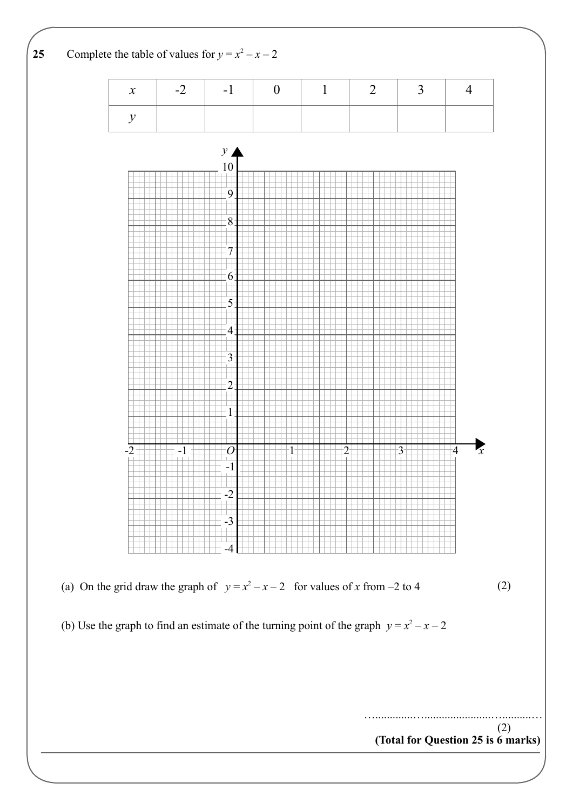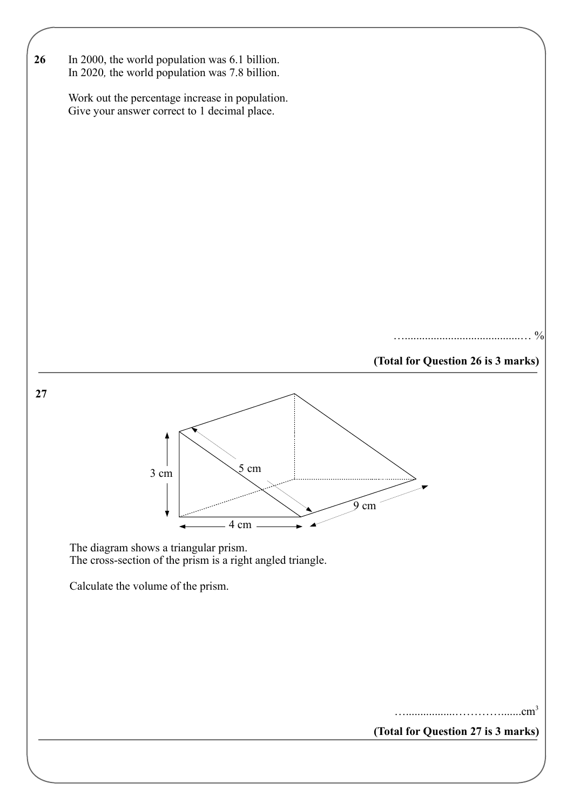